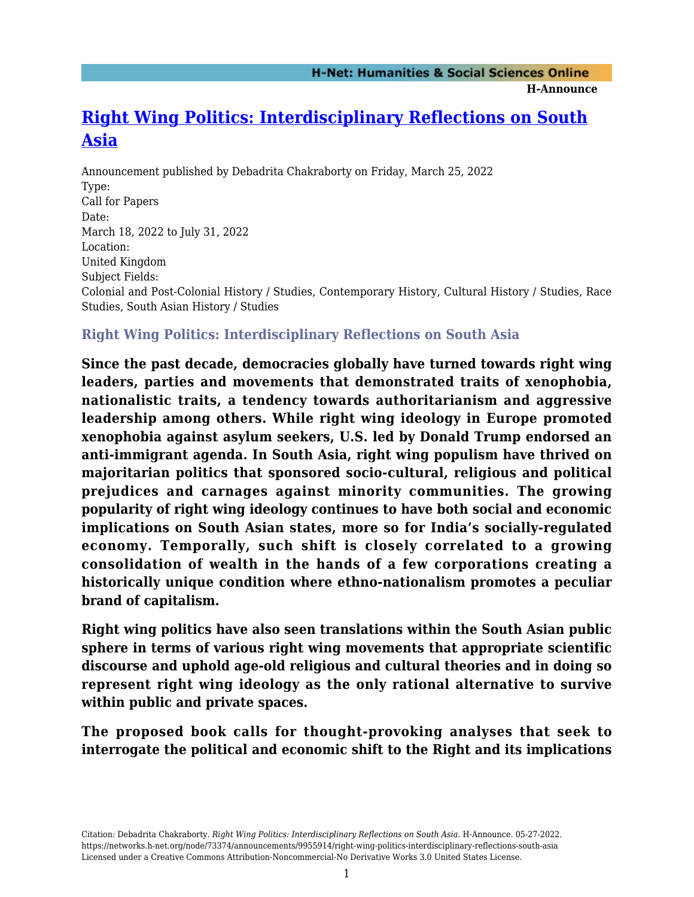**H-Announce** 

## **[Right Wing Politics: Interdisciplinary Reflections on South](https://networks.h-net.org/node/73374/announcements/9955914/right-wing-politics-interdisciplinary-reflections-south-asia) [Asia](https://networks.h-net.org/node/73374/announcements/9955914/right-wing-politics-interdisciplinary-reflections-south-asia)**

Announcement published by Debadrita Chakraborty on Friday, March 25, 2022 Type: Call for Papers Date: March 18, 2022 to July 31, 2022 Location: United Kingdom Subject Fields: Colonial and Post-Colonial History / Studies, Contemporary History, Cultural History / Studies, Race Studies, South Asian History / Studies

## **Right Wing Politics: Interdisciplinary Reflections on South Asia**

**Since the past decade, democracies globally have turned towards right wing leaders, parties and movements that demonstrated traits of xenophobia, nationalistic traits, a tendency towards authoritarianism and aggressive leadership among others. While right wing ideology in Europe promoted xenophobia against asylum seekers, U.S. led by Donald Trump endorsed an anti-immigrant agenda. In South Asia, right wing populism have thrived on majoritarian politics that sponsored socio-cultural, religious and political prejudices and carnages against minority communities. The growing popularity of right wing ideology continues to have both social and economic implications on South Asian states, more so for India's socially-regulated economy. Temporally, such shift is closely correlated to a growing consolidation of wealth in the hands of a few corporations creating a historically unique condition where ethno-nationalism promotes a peculiar brand of capitalism.** 

**Right wing politics have also seen translations within the South Asian public sphere in terms of various right wing movements that appropriate scientific discourse and uphold age-old religious and cultural theories and in doing so represent right wing ideology as the only rational alternative to survive within public and private spaces.** 

**The proposed book calls for thought-provoking analyses that seek to interrogate the political and economic shift to the Right and its implications**

Citation: Debadrita Chakraborty. *Right Wing Politics: Interdisciplinary Reflections on South Asia*. H-Announce. 05-27-2022. https://networks.h-net.org/node/73374/announcements/9955914/right-wing-politics-interdisciplinary-reflections-south-asia Licensed under a Creative Commons Attribution-Noncommercial-No Derivative Works 3.0 United States License.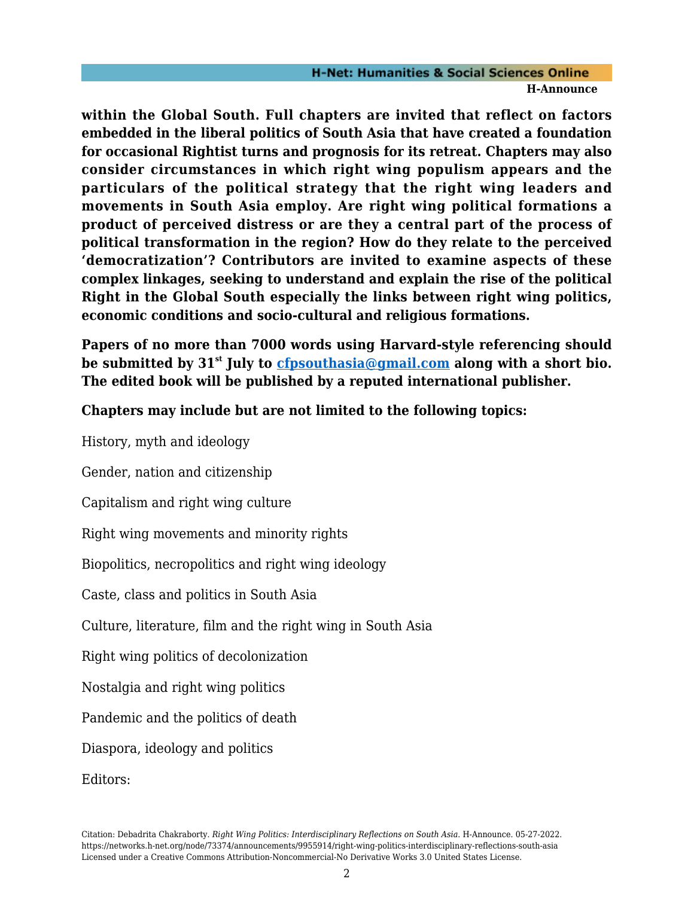## **H-Net: Humanities & Social Sciences Online H-Announce**

**within the Global South. Full chapters are invited that reflect on factors embedded in the liberal politics of South Asia that have created a foundation for occasional Rightist turns and prognosis for its retreat. Chapters may also consider circumstances in which right wing populism appears and the particulars of the political strategy that the right wing leaders and movements in South Asia employ. Are right wing political formations a product of perceived distress or are they a central part of the process of political transformation in the region? How do they relate to the perceived 'democratization'? Contributors are invited to examine aspects of these complex linkages, seeking to understand and explain the rise of the political Right in the Global South especially the links between right wing politics, economic conditions and socio-cultural and religious formations.** 

**Papers of no more than 7000 words using Harvard-style referencing should be submitted by 31st July to [cfpsouthasia@gmail.com](mailto:cfpsouthasia@gmail.com) along with a short bio. The edited book will be published by a reputed international publisher.** 

**Chapters may include but are not limited to the following topics:** 

History, myth and ideology

Gender, nation and citizenship

Capitalism and right wing culture

Right wing movements and minority rights

Biopolitics, necropolitics and right wing ideology

Caste, class and politics in South Asia

Culture, literature, film and the right wing in South Asia

Right wing politics of decolonization

Nostalgia and right wing politics

Pandemic and the politics of death

Diaspora, ideology and politics

Editors: